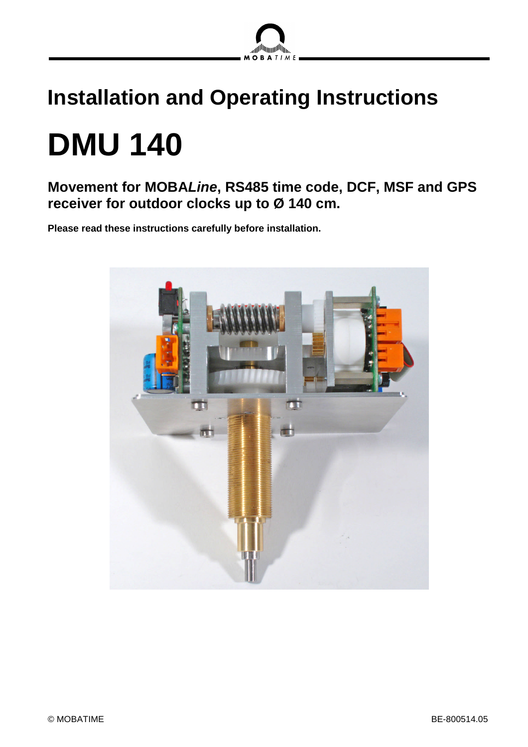

# **Installation and Operating Instructions DMU 140**

**Movement for MOBA***Line***, RS485 time code, DCF, MSF and GPS receiver for outdoor clocks up to Ø 140 cm.**

**Please read these instructions carefully before installation.**

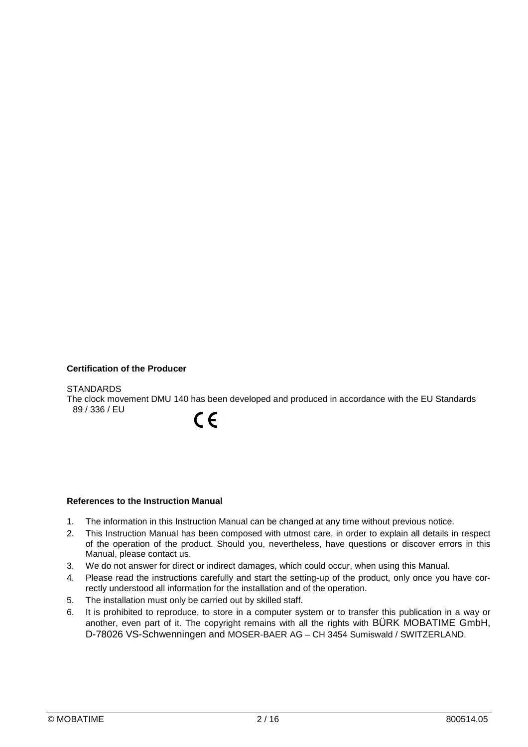#### **Certification of the Producer**

#### **STANDARDS**

The clock movement DMU 140 has been developed and produced in accordance with the EU Standards 89 / 336 / EU

 $\epsilon$ 

#### **References to the Instruction Manual**

- 1. The information in this Instruction Manual can be changed at any time without previous notice.
- 2. This Instruction Manual has been composed with utmost care, in order to explain all details in respect of the operation of the product. Should you, nevertheless, have questions or discover errors in this Manual, please contact us.
- 3. We do not answer for direct or indirect damages, which could occur, when using this Manual.
- 4. Please read the instructions carefully and start the setting-up of the product, only once you have correctly understood all information for the installation and of the operation.
- 5. The installation must only be carried out by skilled staff.
- 6. It is prohibited to reproduce, to store in a computer system or to transfer this publication in a way or another, even part of it. The copyright remains with all the rights with BÜRK MOBATIME GmbH, D-78026 VS-Schwenningen and MOSER-BAER AG – CH 3454 Sumiswald / SWITZERLAND.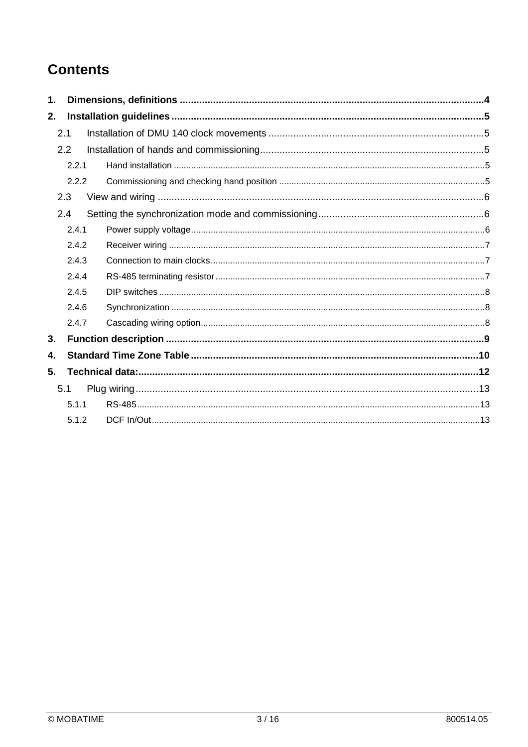## **Contents**

| 1.  |       |  |  |  |  |  |  |
|-----|-------|--|--|--|--|--|--|
| 2.  |       |  |  |  |  |  |  |
|     | 2.1   |  |  |  |  |  |  |
|     | 2.2   |  |  |  |  |  |  |
|     | 2.2.1 |  |  |  |  |  |  |
|     | 2.2.2 |  |  |  |  |  |  |
|     | 2.3   |  |  |  |  |  |  |
|     | 2.4   |  |  |  |  |  |  |
|     | 2.4.1 |  |  |  |  |  |  |
|     | 2.4.2 |  |  |  |  |  |  |
|     | 2.4.3 |  |  |  |  |  |  |
|     | 2.4.4 |  |  |  |  |  |  |
|     | 2.4.5 |  |  |  |  |  |  |
|     | 2.4.6 |  |  |  |  |  |  |
|     | 2.4.7 |  |  |  |  |  |  |
| 3.  |       |  |  |  |  |  |  |
| 4.  |       |  |  |  |  |  |  |
| 5.  |       |  |  |  |  |  |  |
| 5.1 |       |  |  |  |  |  |  |
|     | 5.1.1 |  |  |  |  |  |  |
|     | 5.1.2 |  |  |  |  |  |  |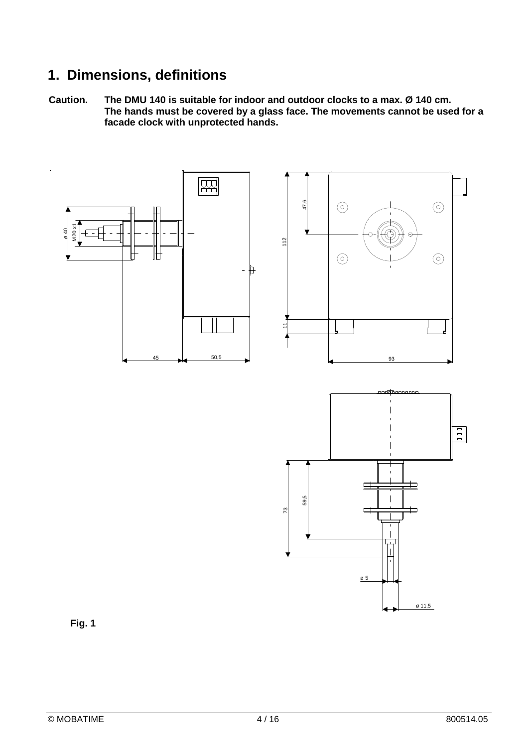## **1. Dimensions, definitions**

**Caution. The DMU 140 is suitable for indoor and outdoor clocks to a max. Ø 140 cm. The hands must be covered by a glass face. The movements cannot be used for a facade clock with unprotected hands.**



**Fig. 1**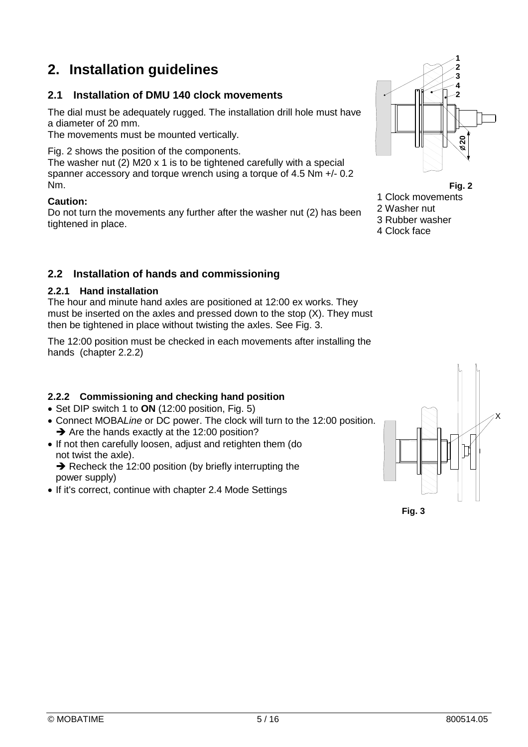## **2. Installation guidelines**

#### **2.1 Installation of DMU 140 clock movements**

The dial must be adequately rugged. The installation drill hole must have a diameter of 20 mm.

The movements must be mounted vertically.

Fig. 2 shows the position of the components.

The washer nut (2) M20 x 1 is to be tightened carefully with a special spanner accessory and torque wrench using a torque of 4.5 Nm +/- 0.2 Nm.

#### **Caution:**

Do not turn the movements any further after the washer nut (2) has been tightened in place.

#### **2.2 Installation of hands and commissioning**

#### **2.2.1 Hand installation**

The hour and minute hand axles are positioned at 12:00 ex works. They must be inserted on the axles and pressed down to the stop (X). They must then be tightened in place without twisting the axles. See Fig. 3.

The 12:00 position must be checked in each movements after installing the hands (chapter 2.2.2)

#### **2.2.2 Commissioning and checking hand position**

- Set DIP switch 1 to ON (12:00 position, Fig. 5)
- Connect MOBA*Line* or DC power. The clock will turn to the 12:00 position.  $\rightarrow$  Are the hands exactly at the 12:00 position?
- If not then carefully loosen, adjust and retighten them (do not twist the axle).  $\rightarrow$  Recheck the 12:00 position (by briefly interrupting the power supply)
- If it's correct, continue with chapter 2.4 Mode Settings



**Fig. 2**

- 1 Clock movements
- 2 Washer nut

3 Rubber washer

4 Clock face



**Fig. 3**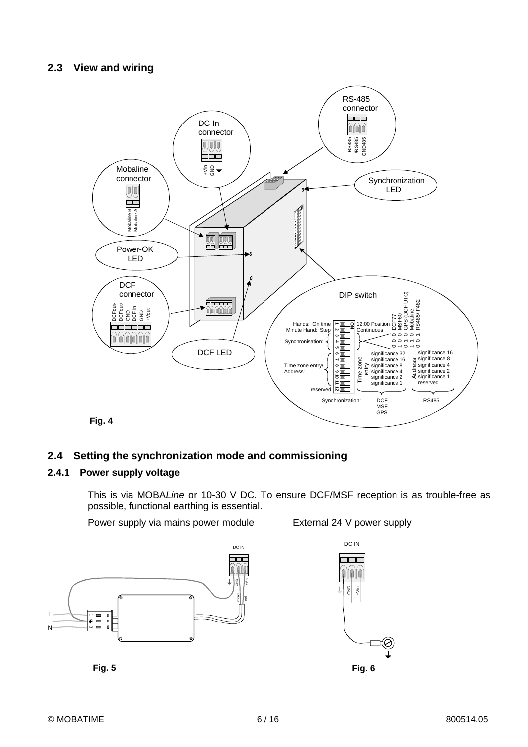#### **2.3 View and wiring**



#### **2.4 Setting the synchronization mode and commissioning**

#### **2.4.1 Power supply voltage**

This is via MOBA*Line* or 10-30 V DC. To ensure DCF/MSF reception is as trouble-free as possible, functional earthing is essential.

Power supply via mains power module External 24 V power supply





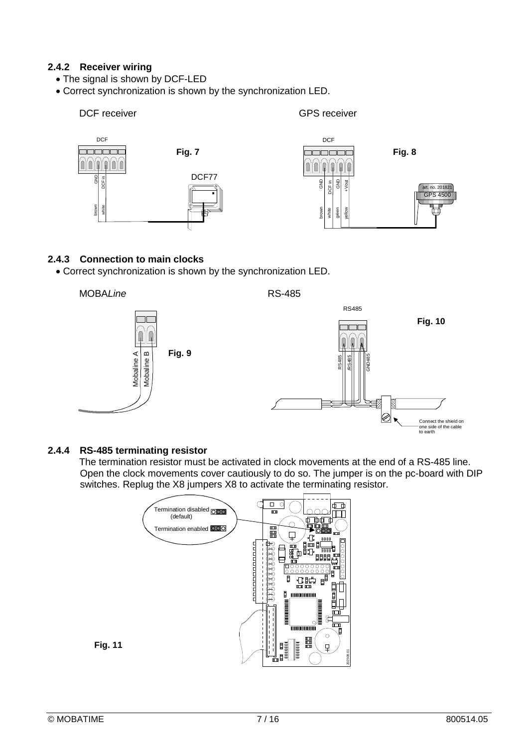#### **2.4.2 Receiver wiring**

- The signal is shown by DCF-LED
- Correct synchronization is shown by the synchronization LED.



#### **2.4.3 Connection to main clocks**

Correct synchronization is shown by the synchronization LED.





#### **2.4.4 RS-485 terminating resistor**

The termination resistor must be activated in clock movements at the end of a RS-485 line. Open the clock movements cover cautiously to do so. The jumper is on the pc-board with DIP switches. Replug the X8 jumpers X8 to activate the terminating resistor.



to earth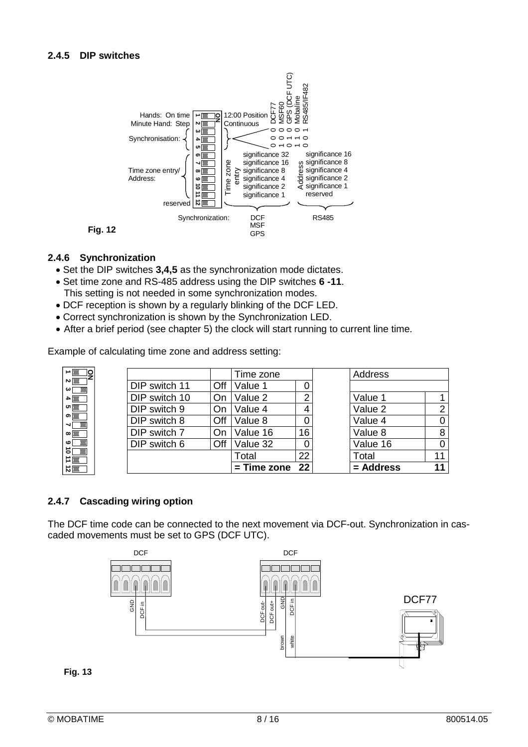

#### **2.4.6 Synchronization**

- Set the DIP switches **3,4,5** as the synchronization mode dictates.
- Set time zone and RS-485 address using the DIP switches **6 -11**. This setting is not needed in some synchronization modes.
- DCF reception is shown by a regularly blinking of the DCF LED.
- Correct synchronization is shown by the Synchronization LED.
- After a brief period (see chapter 5) the clock will start running to current line time.

Example of calculating time zone and address setting:

|                            |  |               | Time zone |                  | Address |           |    |
|----------------------------|--|---------------|-----------|------------------|---------|-----------|----|
| ∾⊩<br>∣دے                  |  | DIP switch 11 | Off       | Value 1          |         |           |    |
| $\blacksquare$             |  | DIP switch 10 | On        | Value 2          | ⌒       | Value 1   |    |
| $\sigma$                   |  | DIP switch 9  | On        | Value 4          |         | Value 2   | 2  |
| ത $\overline{\phantom{a}}$ |  | DIP switch 8  | Off       | Value 8          |         | Value 4   | 0  |
| $\infty$                   |  | DIP switch 7  | On        | Value 16         | 16      | Value 8   | 8  |
| ဖ                          |  | DIP switch 6  | Off       | Value 32         |         | Value 16  |    |
| எ்<br>$\Rightarrow$ $\Box$ |  |               |           | Total            | 22      | Total     | 11 |
| $\vec{v}$                  |  |               |           | $=$ Time zone 22 |         | = Address | 11 |

#### **2.4.7 Cascading wiring option**

The DCF time code can be connected to the next movement via DCF-out. Synchronization in cascaded movements must be set to GPS (DCF UTC).



**Fig. 13**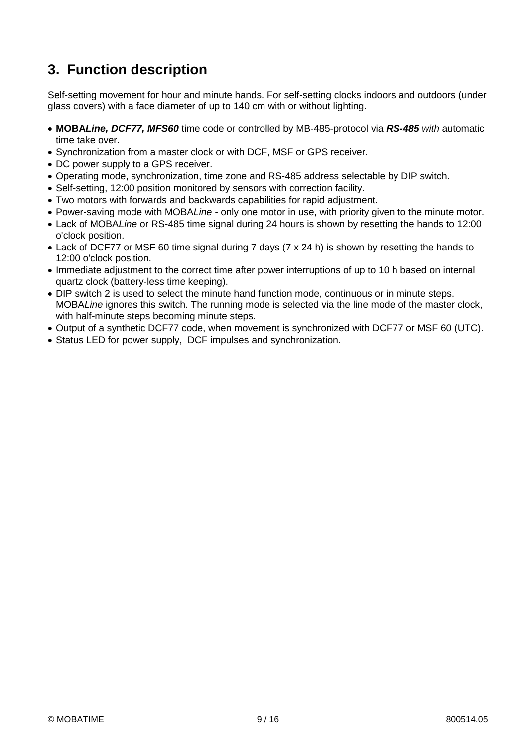## **3. Function description**

Self-setting movement for hour and minute hands. For self-setting clocks indoors and outdoors (under glass covers) with a face diameter of up to 140 cm with or without lighting.

- **MOBA***Line, DCF77, MFS60* time code or controlled by MB-485-protocol via *RS-485 with* automatic time take over.
- Synchronization from a master clock or with DCF, MSF or GPS receiver.
- DC power supply to a GPS receiver.
- Operating mode, synchronization, time zone and RS-485 address selectable by DIP switch.
- Self-setting, 12:00 position monitored by sensors with correction facility.
- Two motors with forwards and backwards capabilities for rapid adjustment.
- Power-saving mode with MOBA*Line -* only one motor in use, with priority given to the minute motor.
- Lack of MOBA*Line* or RS-485 time signal during 24 hours is shown by resetting the hands to 12:00 o'clock position.
- Lack of DCF77 or MSF 60 time signal during 7 days (7 x 24 h) is shown by resetting the hands to 12:00 o'clock position.
- Immediate adjustment to the correct time after power interruptions of up to 10 h based on internal quartz clock (battery-less time keeping).
- DIP switch 2 is used to select the minute hand function mode, continuous or in minute steps. MOBA*Line* ignores this switch. The running mode is selected via the line mode of the master clock, with half-minute steps becoming minute steps.
- Output of a synthetic DCF77 code, when movement is synchronized with DCF77 or MSF 60 (UTC).
- Status LED for power supply, DCF impulses and synchronization.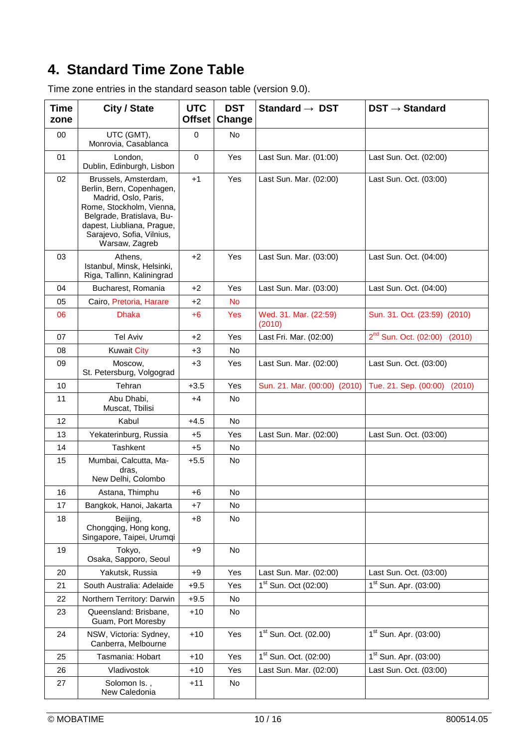## **4. Standard Time Zone Table**

Time zone entries in the standard season table (version 9.0).

| <b>Time</b><br>zone | City / State                                                                                                                                                                                                    | <b>UTC</b><br><b>Offset</b> | <b>DST</b><br>Change | Standard $\rightarrow$ DST       | $DST \rightarrow Standard$        |
|---------------------|-----------------------------------------------------------------------------------------------------------------------------------------------------------------------------------------------------------------|-----------------------------|----------------------|----------------------------------|-----------------------------------|
| 00                  | UTC (GMT),<br>Monrovia, Casablanca                                                                                                                                                                              | $\mathbf 0$                 | No                   |                                  |                                   |
| 01                  | London,<br>Dublin, Edinburgh, Lisbon                                                                                                                                                                            | $\mathbf 0$                 | Yes                  | Last Sun. Mar. (01:00)           | Last Sun. Oct. (02:00)            |
| 02                  | Brussels, Amsterdam,<br>Berlin, Bern, Copenhagen,<br>Madrid, Oslo, Paris,<br>Rome, Stockholm, Vienna,<br>Belgrade, Bratislava, Bu-<br>dapest, Liubliana, Prague,<br>Sarajevo, Sofia, Vilnius,<br>Warsaw, Zagreb | $+1$                        | Yes                  | Last Sun. Mar. (02:00)           | Last Sun. Oct. (03:00)            |
| 03                  | Athens,<br>Istanbul, Minsk, Helsinki,<br>Riga, Tallinn, Kaliningrad                                                                                                                                             | $+2$                        | Yes                  | Last Sun. Mar. (03:00)           | Last Sun. Oct. (04:00)            |
| 04                  | Bucharest, Romania                                                                                                                                                                                              | $+2$                        | Yes                  | Last Sun. Mar. (03:00)           | Last Sun. Oct. (04:00)            |
| 05                  | Cairo, Pretoria, Harare                                                                                                                                                                                         | $+2$                        | <b>No</b>            |                                  |                                   |
| 06                  | <b>Dhaka</b>                                                                                                                                                                                                    | $+6$                        | Yes                  | Wed. 31. Mar. (22:59)<br>(2010)  | Sun. 31. Oct. (23:59) (2010)      |
| 07                  | <b>Tel Aviv</b>                                                                                                                                                                                                 | +2                          | Yes                  | Last Fri. Mar. (02:00)           | $2^{nd}$ Sun. Oct. (02:00) (2010) |
| 08                  | <b>Kuwait City</b>                                                                                                                                                                                              | $+3$                        | No                   |                                  |                                   |
| 09                  | Moscow,<br>St. Petersburg, Volgograd                                                                                                                                                                            | $+3$                        | Yes                  | Last Sun. Mar. (02:00)           | Last Sun. Oct. (03:00)            |
| 10                  | Tehran                                                                                                                                                                                                          | $+3.5$                      | Yes                  | Sun. 21. Mar. (00:00) (2010)     | Tue. 21. Sep. (00:00)<br>(2010)   |
| 11                  | Abu Dhabi,<br>Muscat, Tbilisi                                                                                                                                                                                   | +4                          | No                   |                                  |                                   |
| 12                  | Kabul                                                                                                                                                                                                           | $+4.5$                      | No.                  |                                  |                                   |
| 13                  | Yekaterinburg, Russia                                                                                                                                                                                           | +5                          | Yes                  | Last Sun. Mar. (02:00)           | Last Sun. Oct. (03:00)            |
| 14                  | Tashkent                                                                                                                                                                                                        | $+5$                        | No                   |                                  |                                   |
| 15                  | Mumbai, Calcutta, Ma-<br>dras,<br>New Delhi, Colombo                                                                                                                                                            | $+5.5$                      | No                   |                                  |                                   |
| 16                  | Astana, Thimphu                                                                                                                                                                                                 | +6                          | No                   |                                  |                                   |
| 17                  | Bangkok, Hanoi, Jakarta                                                                                                                                                                                         | $+7$                        | No                   |                                  |                                   |
| 18                  | Beijing,<br>Chongqing, Hong kong,<br>Singapore, Taipei, Urumqi                                                                                                                                                  | $+8$                        | No                   |                                  |                                   |
| 19                  | Tokyo,<br>Osaka, Sapporo, Seoul                                                                                                                                                                                 | $+9$                        | No                   |                                  |                                   |
| 20                  | Yakutsk, Russia                                                                                                                                                                                                 | $+9$                        | Yes                  | Last Sun. Mar. (02:00)           | Last Sun. Oct. (03:00)            |
| 21                  | South Australia: Adelaide                                                                                                                                                                                       | $+9.5$                      | Yes                  | 1 <sup>st</sup> Sun. Oct (02:00) | $1st$ Sun. Apr. (03:00)           |
| 22                  | Northern Territory: Darwin                                                                                                                                                                                      | $+9.5$                      | No                   |                                  |                                   |
| 23                  | Queensland: Brisbane,<br>Guam, Port Moresby                                                                                                                                                                     | $+10$                       | No                   |                                  |                                   |
| 24                  | NSW, Victoria: Sydney,<br>Canberra, Melbourne                                                                                                                                                                   | $+10$                       | Yes                  | $1st$ Sun. Oct. (02.00)          | $1st$ Sun. Apr. (03:00)           |
| 25                  | Tasmania: Hobart                                                                                                                                                                                                | $+10$                       | Yes                  | $1st$ Sun. Oct. (02:00)          | $1st$ Sun. Apr. (03:00)           |
| 26                  | Vladivostok                                                                                                                                                                                                     | $+10$                       | Yes                  | Last Sun. Mar. (02:00)           | Last Sun. Oct. (03:00)            |
| 27                  | Solomon Is.,<br>New Caledonia                                                                                                                                                                                   | +11                         | No                   |                                  |                                   |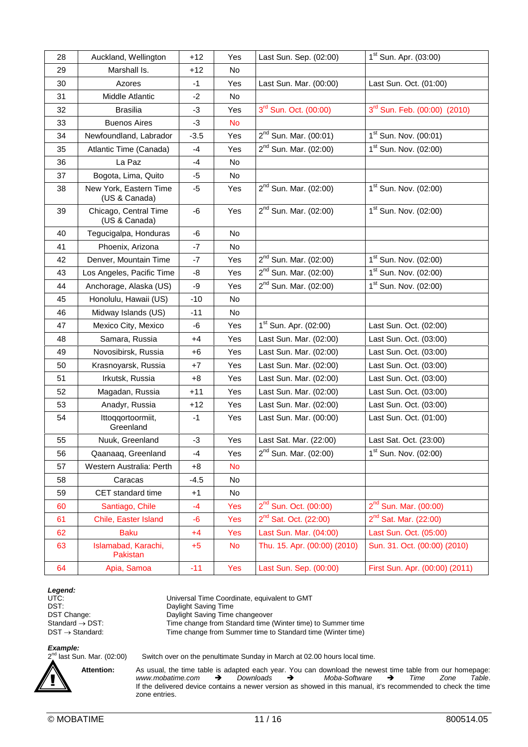| 28 | Auckland, Wellington                    | $+12$  | Yes       | Last Sun. Sep. (02:00)            | 1 <sup>st</sup> Sun. Apr. (03:00)        |
|----|-----------------------------------------|--------|-----------|-----------------------------------|------------------------------------------|
| 29 | Marshall Is.                            | $+12$  | No.       |                                   |                                          |
| 30 | Azores                                  | $-1$   | Yes       | Last Sun. Mar. (00:00)            | Last Sun. Oct. (01:00)                   |
| 31 | Middle Atlantic                         | $-2$   | <b>No</b> |                                   |                                          |
| 32 | <b>Brasilia</b>                         | -3     | Yes       | $3^{rd}$ Sun. Oct. (00:00)        | 3 <sup>rd</sup> Sun. Feb. (00:00) (2010) |
| 33 | <b>Buenos Aires</b>                     | $-3$   | <b>No</b> |                                   |                                          |
| 34 | Newfoundland, Labrador                  | $-3.5$ | Yes       | $2^{nd}$ Sun. Mar. (00:01)        | 1 <sup>st</sup> Sun. Nov. (00:01)        |
| 35 | Atlantic Time (Canada)                  | $-4$   | Yes       | 2 <sup>nd</sup> Sun. Mar. (02:00) | 1 <sup>st</sup> Sun. Nov. (02:00)        |
| 36 | La Paz                                  | -4     | No.       |                                   |                                          |
| 37 | Bogota, Lima, Quito                     | -5     | No        |                                   |                                          |
| 38 | New York, Eastern Time<br>(US & Canada) | $-5$   | Yes       | $2^{nd}$ Sun. Mar. (02:00)        | 1 <sup>st</sup> Sun. Nov. (02:00)        |
| 39 | Chicago, Central Time<br>(US & Canada)  | -6     | Yes       | $2^{nd}$ Sun. Mar. (02:00)        | 1 <sup>st</sup> Sun. Nov. (02:00)        |
| 40 | Tegucigalpa, Honduras                   | -6     | <b>No</b> |                                   |                                          |
| 41 | Phoenix, Arizona                        | $-7$   | No.       |                                   |                                          |
| 42 | Denver, Mountain Time                   | $-7$   | Yes       | $2^{nd}$ Sun. Mar. (02:00)        | 1 <sup>st</sup> Sun. Nov. (02:00)        |
| 43 | Los Angeles, Pacific Time               | -8     | Yes       | $2^{nd}$ Sun. Mar. (02:00)        | $1st$ Sun. Nov. (02:00)                  |
| 44 | Anchorage, Alaska (US)                  | $-9$   | Yes       | $2^{nd}$ Sun. Mar. (02:00)        | 1 <sup>st</sup> Sun. Nov. (02:00)        |
| 45 | Honolulu, Hawaii (US)                   | $-10$  | No.       |                                   |                                          |
| 46 | Midway Islands (US)                     | $-11$  | No        |                                   |                                          |
| 47 | Mexico City, Mexico                     | -6     | Yes       | $1st$ Sun. Apr. (02:00)           | Last Sun. Oct. (02:00)                   |
| 48 | Samara, Russia                          | $+4$   | Yes       | Last Sun. Mar. (02:00)            | Last Sun. Oct. (03:00)                   |
| 49 | Novosibirsk, Russia                     | $+6$   | Yes       | Last Sun. Mar. (02:00)            | Last Sun. Oct. (03:00)                   |
| 50 | Krasnoyarsk, Russia                     | $+7$   | Yes       | Last Sun. Mar. (02:00)            | Last Sun. Oct. (03:00)                   |
| 51 | Irkutsk, Russia                         | $+8$   | Yes       | Last Sun. Mar. (02:00)            | Last Sun. Oct. (03:00)                   |
| 52 | Magadan, Russia                         | $+11$  | Yes       | Last Sun. Mar. (02:00)            | Last Sun. Oct. (03:00)                   |
| 53 | Anadyr, Russia                          | $+12$  | Yes       | Last Sun. Mar. (02:00)            | Last Sun. Oct. (03:00)                   |
| 54 | Ittoqqortoormiit,<br>Greenland          | $-1$   | Yes       | Last Sun. Mar. (00:00)            | Last Sun. Oct. (01:00)                   |
| 55 | Nuuk, Greenland                         | $-3$   | Yes       | Last Sat. Mar. (22:00)            | Last Sat. Oct. (23:00)                   |
| 56 | Qaanaaq, Greenland                      | -4     | Yes       | $2^{nd}$ Sun. Mar. (02:00)        | 1 <sup>st</sup> Sun. Nov. (02:00)        |
| 57 | Western Australia: Perth                | $+8$   | No        |                                   |                                          |
| 58 | Caracas                                 | $-4.5$ | No        |                                   |                                          |
| 59 | CET standard time                       | $+1$   | No.       |                                   |                                          |
| 60 | Santiago, Chile                         | $-4$   | Yes       | $2^{nd}$ Sun. Oct. (00:00)        | $2^{nd}$ Sun. Mar. (00:00)               |
| 61 | Chile, Easter Island                    | -6     | Yes       | $2^{nd}$ Sat. Oct. (22:00)        | $2^{nd}$ Sat. Mar. (22:00)               |
| 62 | <b>Baku</b>                             | $+4$   | Yes       | Last Sun. Mar. (04:00)            | Last Sun. Oct. (05:00)                   |
| 63 | Islamabad, Karachi,<br>Pakistan         | $+5$   | <b>No</b> | Thu. 15. Apr. (00:00) (2010)      | Sun. 31. Oct. (00:00) (2010)             |
| 64 | Apia, Samoa                             | $-11$  | Yes       | Last Sun. Sep. (00:00)            | First Sun. Apr. (00:00) (2011)           |

*Legend:*<br>UTC:<br>DST:

Universal Time Coordinate, equivalent to GMT DST:<br>
Daylight Saving Time<br>
DST Change:<br>
Daylight Saving Time<br>
Daylight Saving Time DST Change: Daylight Saving Time changeover<br>
Standard  $\rightarrow$  DST: Time change from Standard time ( Time change from Standard time (Winter time) to Summer time  $\text{DST} \rightarrow \text{Standard:}$  Time change from Summer time to Standard time (Winter time)

#### *Example:*

 $2<sup>nd</sup>$  last Sun. Mar. (02:00)

!<br>!

Switch over on the penultimate Sunday in March at 02.00 hours local time.

Attention: As usual, the time table is adapted each year. You can download the newest time table from our homepage:<br>www.mobatime.com > Downloads > Moba-Software > Time Zone Table. *www.mobatime.com* → If the delivered device contains a newer version as showed in this manual, it's recommended to check the time zone entries.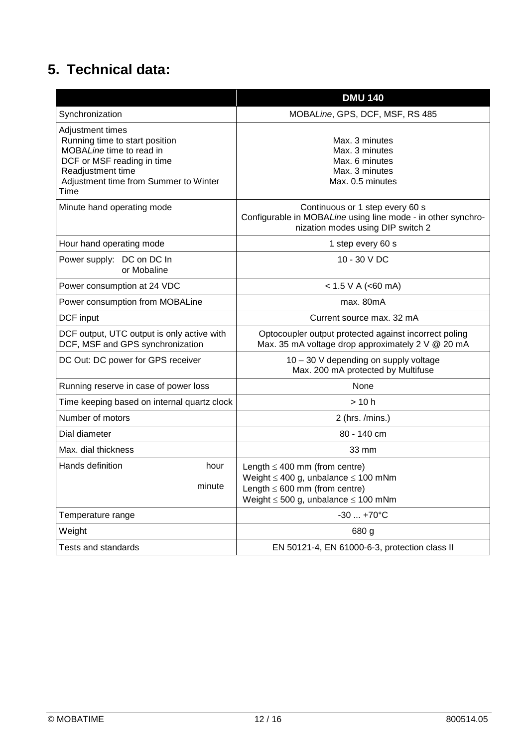## **5. Technical data:**

|                                                                                                                                                                                    | <b>DMU 140</b>                                                                                                                                                             |  |  |
|------------------------------------------------------------------------------------------------------------------------------------------------------------------------------------|----------------------------------------------------------------------------------------------------------------------------------------------------------------------------|--|--|
| Synchronization                                                                                                                                                                    | MOBALine, GPS, DCF, MSF, RS 485                                                                                                                                            |  |  |
| Adjustment times<br>Running time to start position<br>MOBALine time to read in<br>DCF or MSF reading in time<br>Readjustment time<br>Adjustment time from Summer to Winter<br>Time | Max. 3 minutes<br>Max. 3 minutes<br>Max. 6 minutes<br>Max. 3 minutes<br>Max. 0.5 minutes                                                                                   |  |  |
| Minute hand operating mode                                                                                                                                                         | Continuous or 1 step every 60 s<br>Configurable in MOBALine using line mode - in other synchro-<br>nization modes using DIP switch 2                                       |  |  |
| Hour hand operating mode                                                                                                                                                           | 1 step every 60 s                                                                                                                                                          |  |  |
| Power supply: DC on DC In<br>or Mobaline                                                                                                                                           | 10 - 30 V DC                                                                                                                                                               |  |  |
| Power consumption at 24 VDC                                                                                                                                                        | < 1.5 V A (< 60 mA)                                                                                                                                                        |  |  |
| Power consumption from MOBALine                                                                                                                                                    | max. 80mA                                                                                                                                                                  |  |  |
| DCF input                                                                                                                                                                          | Current source max, 32 mA                                                                                                                                                  |  |  |
| DCF output, UTC output is only active with<br>DCF, MSF and GPS synchronization                                                                                                     | Optocoupler output protected against incorrect poling<br>Max. 35 mA voltage drop approximately 2 V @ 20 mA                                                                 |  |  |
| DC Out: DC power for GPS receiver                                                                                                                                                  | 10 - 30 V depending on supply voltage<br>Max. 200 mA protected by Multifuse                                                                                                |  |  |
| Running reserve in case of power loss                                                                                                                                              | None                                                                                                                                                                       |  |  |
| Time keeping based on internal quartz clock                                                                                                                                        | >10 h                                                                                                                                                                      |  |  |
| Number of motors                                                                                                                                                                   | $2$ (hrs. /mins.)                                                                                                                                                          |  |  |
| Dial diameter                                                                                                                                                                      | 80 - 140 cm                                                                                                                                                                |  |  |
| Max. dial thickness                                                                                                                                                                | 33 mm                                                                                                                                                                      |  |  |
| Hands definition<br>hour<br>minute                                                                                                                                                 | Length $\leq 400$ mm (from centre)<br>Weight $\leq 400$ g, unbalance $\leq 100$ mNm<br>Length $\leq 600$ mm (from centre)<br>Weight $\leq 500$ g, unbalance $\leq 100$ mNm |  |  |
| Temperature range                                                                                                                                                                  | $-30+70°C$                                                                                                                                                                 |  |  |
| Weight                                                                                                                                                                             | 680 g                                                                                                                                                                      |  |  |
| Tests and standards                                                                                                                                                                | EN 50121-4, EN 61000-6-3, protection class II                                                                                                                              |  |  |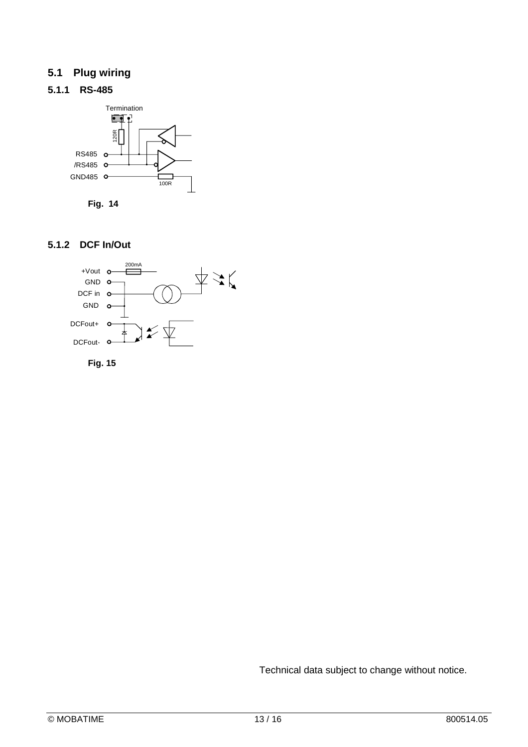### **5.1 Plug wiring**

#### **5.1.1 RS-485**





#### **5.1.2 DCF In/Out**





Technical data subject to change without notice.